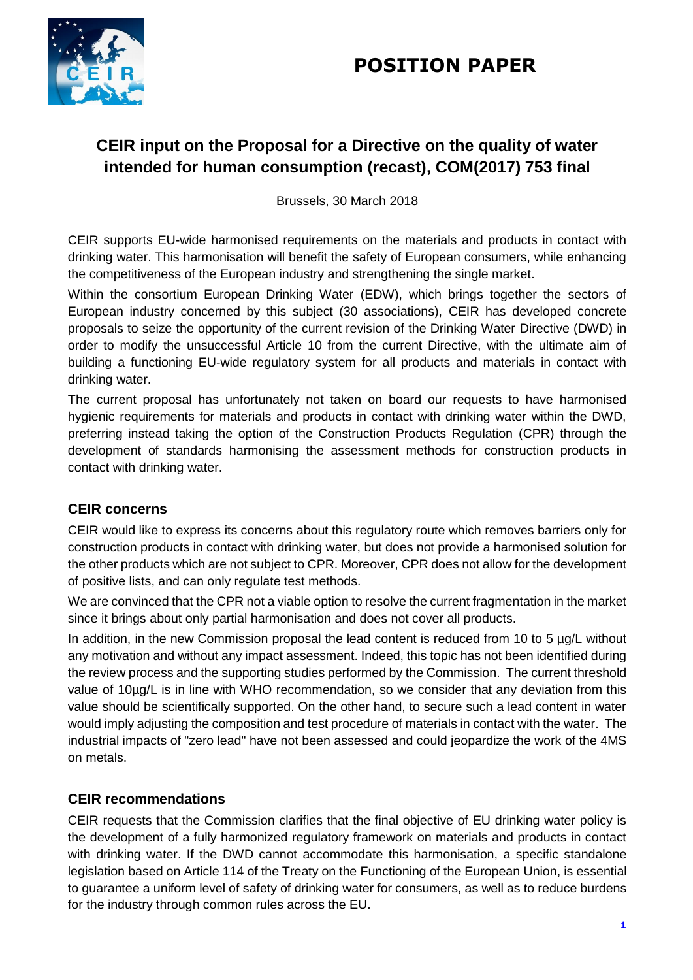# **POSITION PAPER**



# **CEIR input on the Proposal for a Directive on the quality of water intended for human consumption (recast), COM(2017) 753 final**

Brussels, 30 March 2018

CEIR supports EU-wide harmonised requirements on the materials and products in contact with drinking water. This harmonisation will benefit the safety of European consumers, while enhancing the competitiveness of the European industry and strengthening the single market.

Within the consortium European Drinking Water (EDW), which brings together the sectors of European industry concerned by this subject (30 associations), CEIR has developed concrete proposals to seize the opportunity of the current revision of the Drinking Water Directive (DWD) in order to modify the unsuccessful Article 10 from the current Directive, with the ultimate aim of building a functioning EU-wide regulatory system for all products and materials in contact with drinking water.

The current proposal has unfortunately not taken on board our requests to have harmonised hygienic requirements for materials and products in contact with drinking water within the DWD, preferring instead taking the option of the Construction Products Regulation (CPR) through the development of standards harmonising the assessment methods for construction products in contact with drinking water.

## **CEIR concerns**

CEIR would like to express its concerns about this regulatory route which removes barriers only for construction products in contact with drinking water, but does not provide a harmonised solution for the other products which are not subject to CPR. Moreover, CPR does not allow for the development of positive lists, and can only regulate test methods.

We are convinced that the CPR not a viable option to resolve the current fragmentation in the market since it brings about only partial harmonisation and does not cover all products.

In addition, in the new Commission proposal the lead content is reduced from 10 to 5 µg/L without any motivation and without any impact assessment. Indeed, this topic has not been identified during the review process and the supporting studies performed by the Commission. The current threshold value of 10µg/L is in line with WHO recommendation, so we consider that any deviation from this value should be scientifically supported. On the other hand, to secure such a lead content in water would imply adjusting the composition and test procedure of materials in contact with the water. The industrial impacts of "zero lead" have not been assessed and could jeopardize the work of the 4MS on metals.

## **CEIR recommendations**

CEIR requests that the Commission clarifies that the final objective of EU drinking water policy is the development of a fully harmonized regulatory framework on materials and products in contact with drinking water. If the DWD cannot accommodate this harmonisation, a specific standalone legislation based on Article 114 of the Treaty on the Functioning of the European Union, is essential to guarantee a uniform level of safety of drinking water for consumers, as well as to reduce burdens for the industry through common rules across the EU.